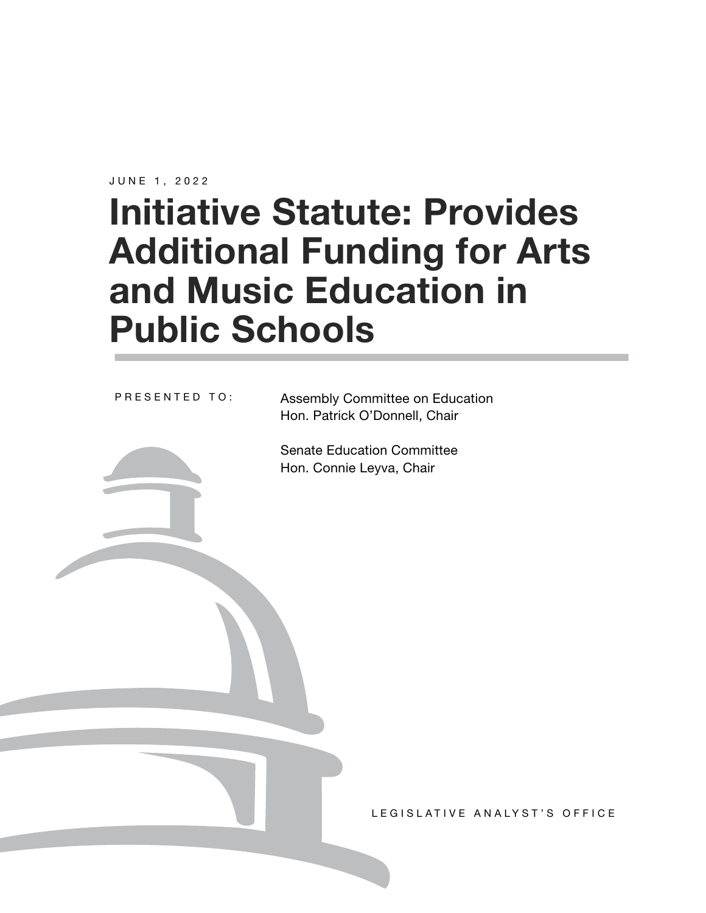JUNE 1, 2022

# **Initiative Statute: Provides Additional Funding for Arts and Music Education in Public Schools**

PRESENTED TO:

Assembly Committee on Education Hon. Patrick O'Donnell, Chair

Senate Education Committee Hon. Connie Leyva, Chair

LEGISLATIVE ANALYST'S OFFICE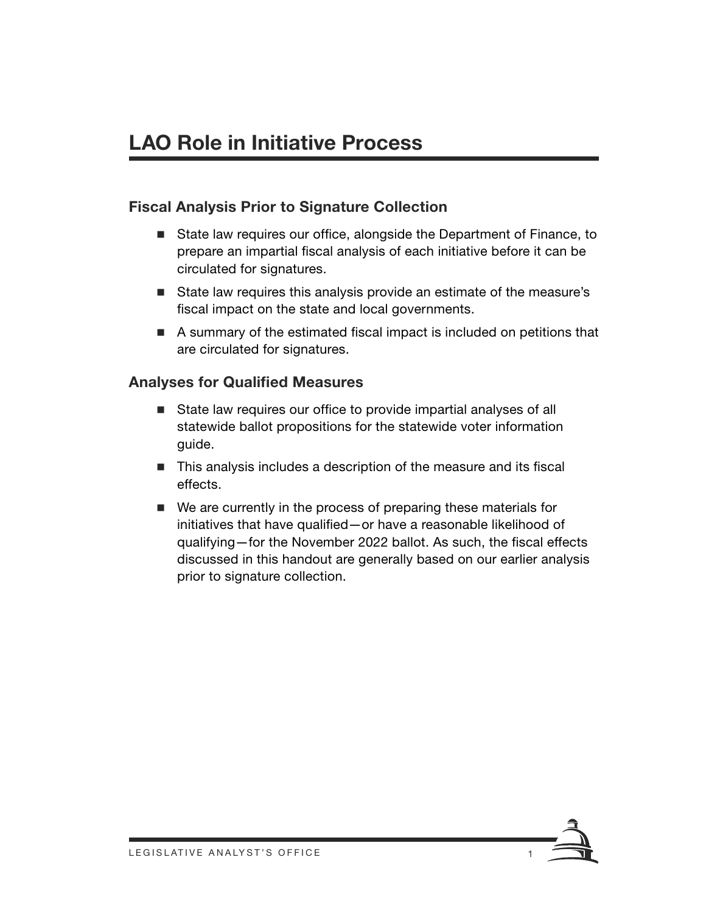# **LAO Role in Initiative Process**

### **Fiscal Analysis Prior to Signature Collection**

- State law requires our office, alongside the Department of Finance, to prepare an impartial fiscal analysis of each initiative before it can be circulated for signatures.
- State law requires this analysis provide an estimate of the measure's fiscal impact on the state and local governments.
- A summary of the estimated fiscal impact is included on petitions that are circulated for signatures.

#### **Analyses for Qualified Measures**

- State law requires our office to provide impartial analyses of all statewide ballot propositions for the statewide voter information guide.
- This analysis includes a description of the measure and its fiscal effects.
- We are currently in the process of preparing these materials for initiatives that have qualified—or have a reasonable likelihood of qualifying—for the November 2022 ballot. As such, the fiscal effects discussed in this handout are generally based on our earlier analysis prior to signature collection.

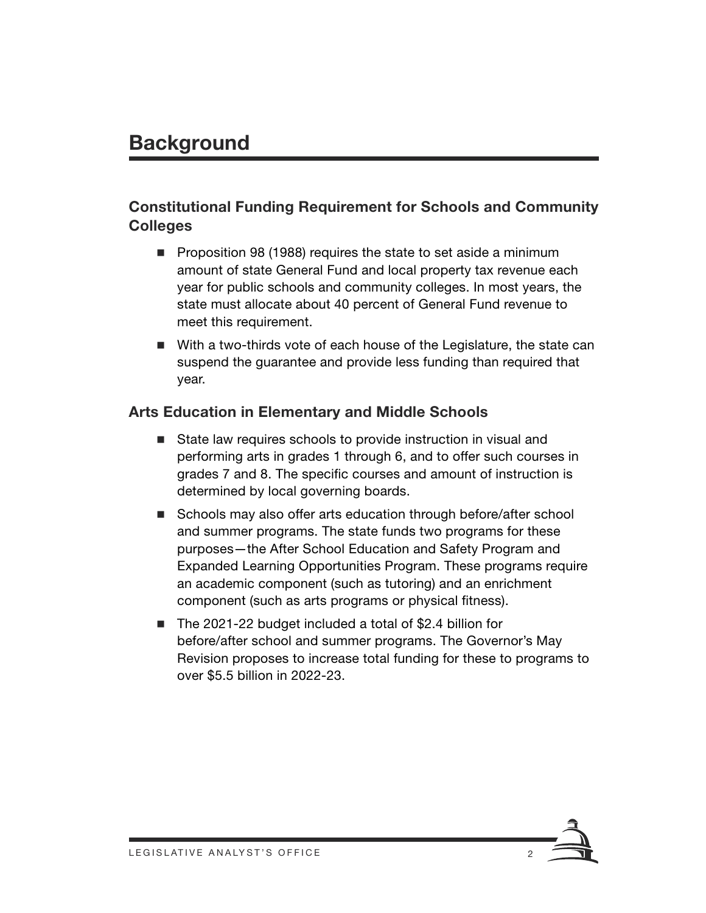### **Background**

### **Constitutional Funding Requirement for Schools and Community Colleges**

- **Proposition 98 (1988) requires the state to set aside a minimum** amount of state General Fund and local property tax revenue each year for public schools and community colleges. In most years, the state must allocate about 40 percent of General Fund revenue to meet this requirement.
- With a two-thirds vote of each house of the Legislature, the state can suspend the guarantee and provide less funding than required that year.

#### **Arts Education in Elementary and Middle Schools**

- State law requires schools to provide instruction in visual and performing arts in grades 1 through 6, and to offer such courses in grades 7 and 8. The specific courses and amount of instruction is determined by local governing boards.
- Schools may also offer arts education through before/after school and summer programs. The state funds two programs for these purposes—the After School Education and Safety Program and Expanded Learning Opportunities Program. These programs require an academic component (such as tutoring) and an enrichment component (such as arts programs or physical fitness).
- The 2021-22 budget included a total of \$2.4 billion for before/after school and summer programs. The Governor's May Revision proposes to increase total funding for these to programs to over \$5.5 billion in 2022-23.

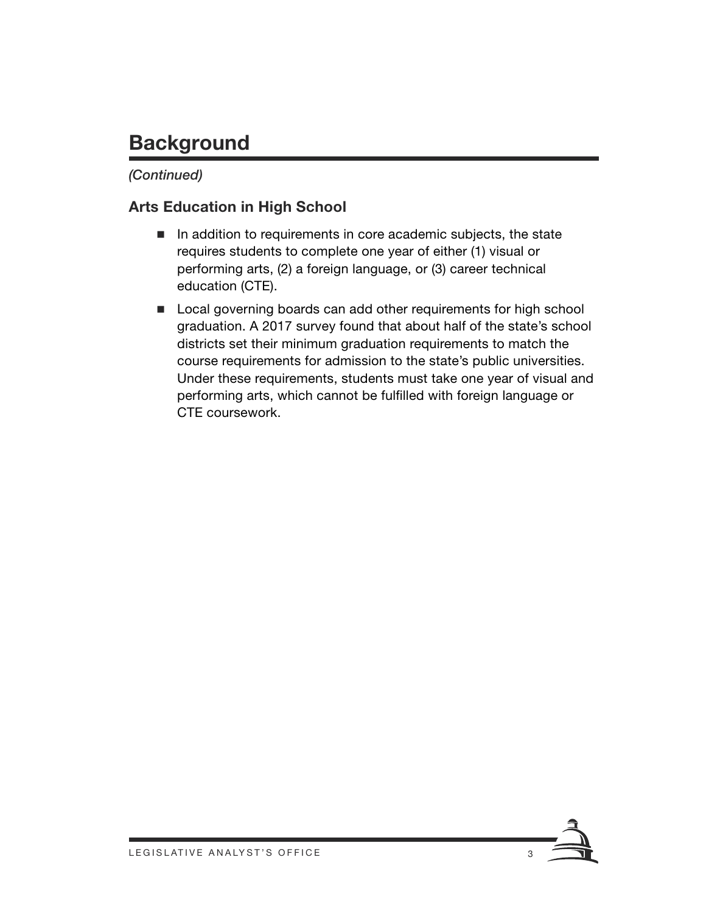# **Background**

### *(Continued)*

### **Arts Education in High School**

- In addition to requirements in core academic subjects, the state requires students to complete one year of either (1) visual or performing arts, (2) a foreign language, or (3) career technical education (CTE).
- Local governing boards can add other requirements for high school graduation. A 2017 survey found that about half of the state's school districts set their minimum graduation requirements to match the course requirements for admission to the state's public universities. Under these requirements, students must take one year of visual and performing arts, which cannot be fulfilled with foreign language or CTE coursework.

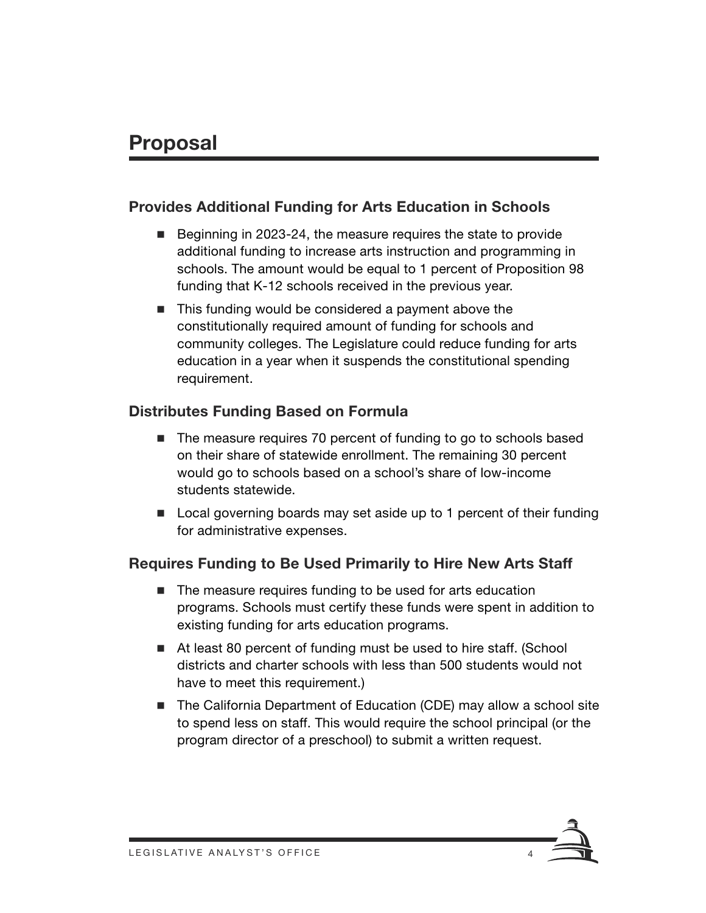### **Proposal**

### **Provides Additional Funding for Arts Education in Schools**

- Beginning in 2023-24, the measure requires the state to provide additional funding to increase arts instruction and programming in schools. The amount would be equal to 1 percent of Proposition 98 funding that K-12 schools received in the previous year.
- This funding would be considered a payment above the constitutionally required amount of funding for schools and community colleges. The Legislature could reduce funding for arts education in a year when it suspends the constitutional spending requirement.

### **Distributes Funding Based on Formula**

- The measure requires 70 percent of funding to go to schools based on their share of statewide enrollment. The remaining 30 percent would go to schools based on a school's share of low-income students statewide.
- Local governing boards may set aside up to 1 percent of their funding for administrative expenses.

### **Requires Funding to Be Used Primarily to Hire New Arts Staff**

- The measure requires funding to be used for arts education programs. Schools must certify these funds were spent in addition to existing funding for arts education programs.
- At least 80 percent of funding must be used to hire staff. (School districts and charter schools with less than 500 students would not have to meet this requirement.)
- The California Department of Education (CDE) may allow a school site to spend less on staff. This would require the school principal (or the program director of a preschool) to submit a written request.

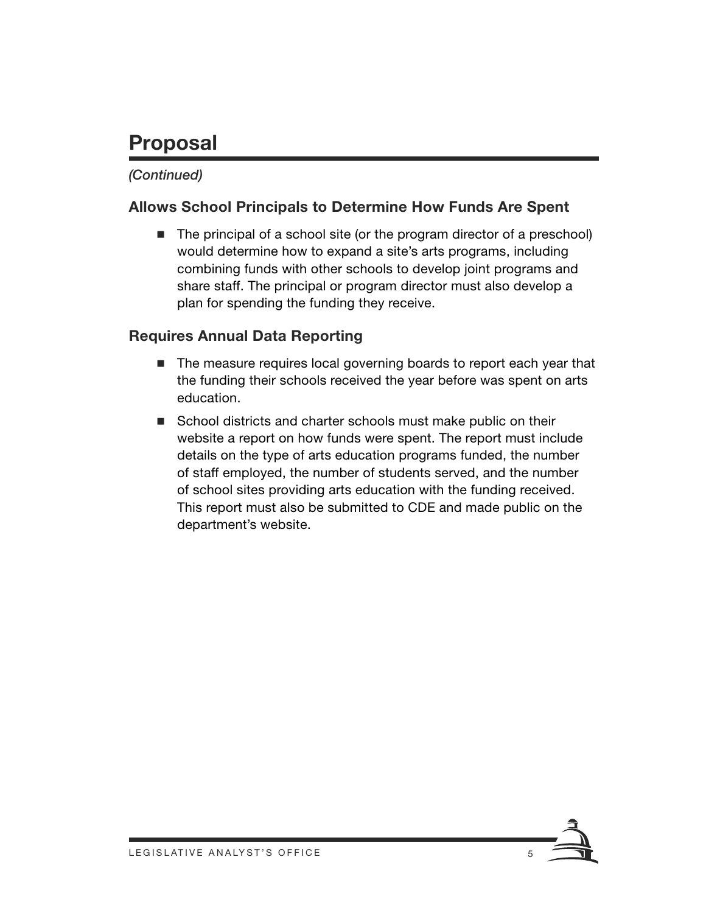# **Proposal**

### *(Continued)*

### **Allows School Principals to Determine How Funds Are Spent**

■ The principal of a school site (or the program director of a preschool) would determine how to expand a site's arts programs, including combining funds with other schools to develop joint programs and share staff. The principal or program director must also develop a plan for spending the funding they receive.

### **Requires Annual Data Reporting**

- The measure requires local governing boards to report each year that the funding their schools received the year before was spent on arts education.
- School districts and charter schools must make public on their website a report on how funds were spent. The report must include details on the type of arts education programs funded, the number of staff employed, the number of students served, and the number of school sites providing arts education with the funding received. This report must also be submitted to CDE and made public on the department's website.